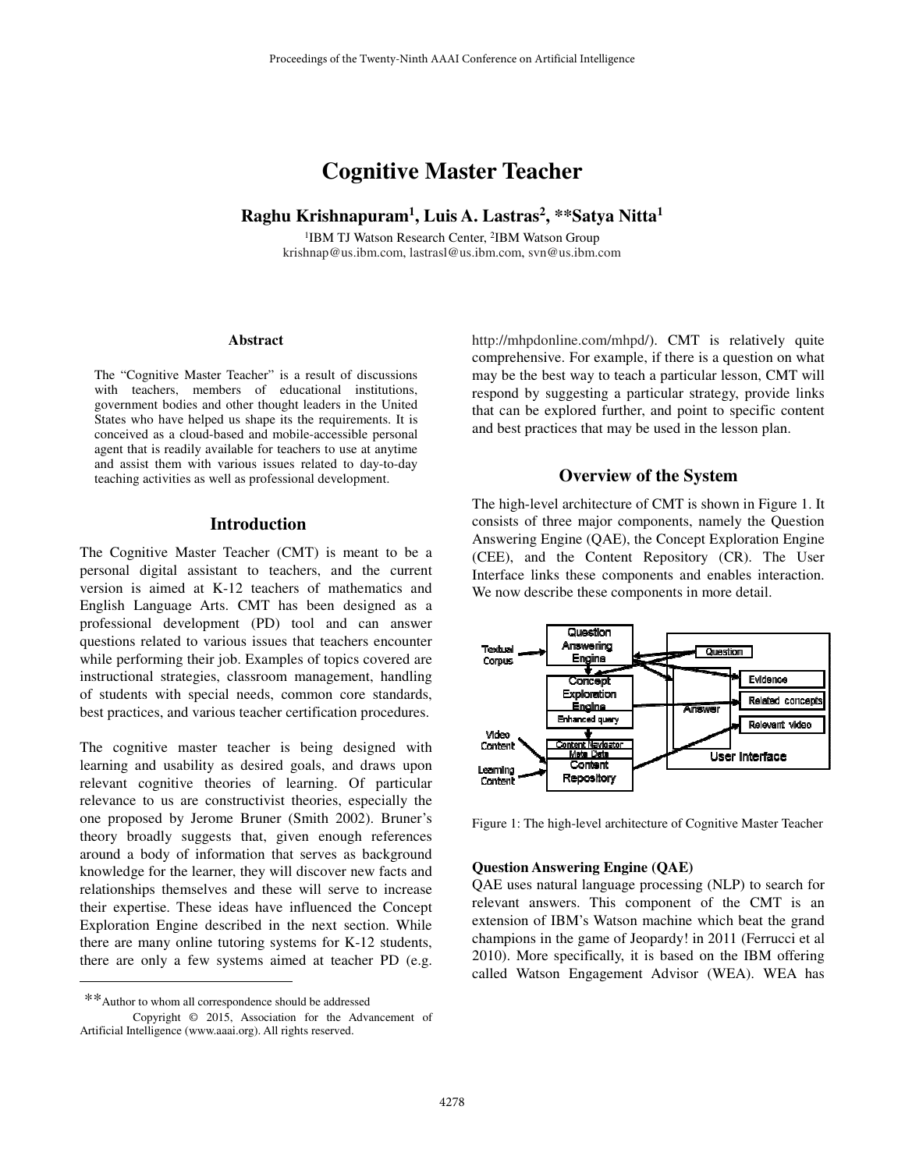# **Cognitive Master Teacher**

**Raghu Krishnapuram<sup>1</sup> , Luis A. Lastras<sup>2</sup> , \*\*Satya Nitta<sup>1</sup>**

<sup>1</sup>IBM TJ Watson Research Center, <sup>2</sup>IBM Watson Group krishnap@us.ibm.com, lastrasl@us.ibm.com, svn@us.ibm.com

#### **Abstract**

The "Cognitive Master Teacher" is a result of discussions with teachers, members of educational institutions, government bodies and other thought leaders in the United States who have helped us shape its the requirements. It is conceived as a cloud-based and mobile-accessible personal agent that is readily available for teachers to use at anytime and assist them with various issues related to day-to-day teaching activities as well as professional development.

## **Introduction**

The Cognitive Master Teacher (CMT) is meant to be a personal digital assistant to teachers, and the current version is aimed at K-12 teachers of mathematics and English Language Arts. CMT has been designed as a professional development (PD) tool and can answer questions related to various issues that teachers encounter while performing their job. Examples of topics covered are instructional strategies, classroom management, handling of students with special needs, common core standards, best practices, and various teacher certification procedures.

The cognitive master teacher is being designed with learning and usability as desired goals, and draws upon relevant cognitive theories of learning. Of particular relevance to us are constructivist theories, especially the one proposed by Jerome Bruner (Smith 2002). Bruner's theory broadly suggests that, given enough references around a body of information that serves as background knowledge for the learner, they will discover new facts and relationships themselves and these will serve to increase their expertise. These ideas have influenced the Concept Exploration Engine described in the next section. While there are many online tutoring systems for K-12 students, there are only a few systems aimed at teacher PD (e.g.

 $\overline{a}$ 

http://mhpdonline.com/mhpd/). CMT is relatively quite comprehensive. For example, if there is a question on what may be the best way to teach a particular lesson, CMT will respond by suggesting a particular strategy, provide links that can be explored further, and point to specific content and best practices that may be used in the lesson plan.

#### **Overview of the System**

The high-level architecture of CMT is shown in Figure 1. It consists of three major components, namely the Question Answering Engine (QAE), the Concept Exploration Engine (CEE), and the Content Repository (CR). The User Interface links these components and enables interaction. We now describe these components in more detail.



Figure 1: The high-level architecture of Cognitive Master Teacher

#### **Question Answering Engine (QAE)**

QAE uses natural language processing (NLP) to search for relevant answers. This component of the CMT is an extension of IBM's Watson machine which beat the grand champions in the game of Jeopardy! in 2011 (Ferrucci et al 2010). More specifically, it is based on the IBM offering called Watson Engagement Advisor (WEA). WEA has

 <sup>\*\*</sup>Author to whom all correspondence should be addressed

Copyright © 2015, Association for the Advancement of Artificial Intelligence (www.aaai.org). All rights reserved.